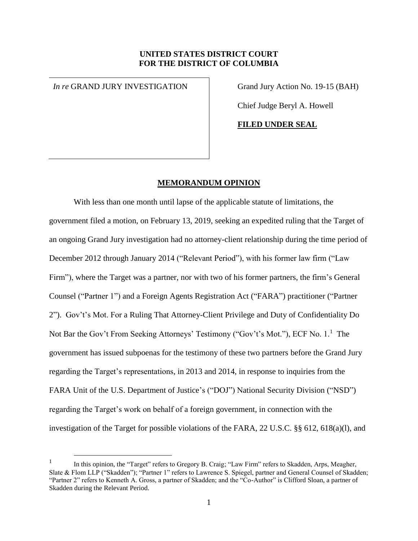# **UNITED STATES DISTRICT COURT FOR THE DISTRICT OF COLUMBIA**

*In re* GRAND JURY INVESTIGATION Grand Jury Action No. 19-15 (BAH)

 $\overline{a}$ 

Chief Judge Beryl A. Howell

**FILED UNDER SEAL**

### **MEMORANDUM OPINION**

With less than one month until lapse of the applicable statute of limitations, the government filed a motion, on February 13, 2019, seeking an expedited ruling that the Target of an ongoing Grand Jury investigation had no attorney-client relationship during the time period of December 2012 through January 2014 ("Relevant Period"), with his former law firm ("Law Firm"), where the Target was a partner, nor with two of his former partners, the firm's General Counsel ("Partner 1") and a Foreign Agents Registration Act ("FARA") practitioner ("Partner 2"). Gov't's Mot. For a Ruling That Attorney-Client Privilege and Duty of Confidentiality Do Not Bar the Gov't From Seeking Attorneys' Testimony ("Gov't's Mot."), ECF No. 1.<sup>1</sup> The government has issued subpoenas for the testimony of these two partners before the Grand Jury regarding the Target's representations, in 2013 and 2014, in response to inquiries from the FARA Unit of the U.S. Department of Justice's ("DOJ") National Security Division ("NSD") regarding the Target's work on behalf of a foreign government, in connection with the investigation of the Target for possible violations of the FARA, 22 U.S.C. §§ 612, 618(a)(l), and

<sup>1</sup> In this opinion, the "Target" refers to Gregory B. Craig; "Law Firm" refers to Skadden, Arps, Meagher, Slate & Flom LLP ("Skadden"); "Partner 1" refers to Lawrence S. Spiegel, partner and General Counsel of Skadden; "Partner 2" refers to Kenneth A. Gross, a partner of Skadden; and the "Co-Author" is Clifford Sloan, a partner of Skadden during the Relevant Period.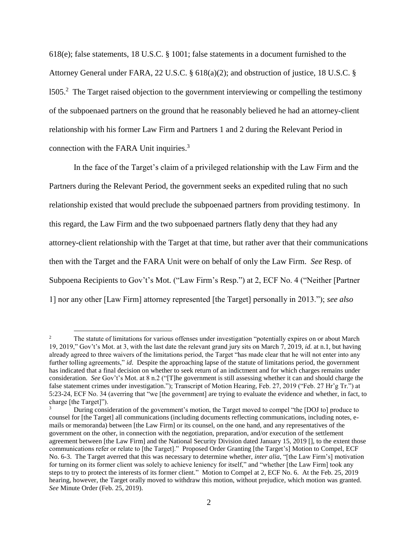618(e); false statements, 18 U.S.C. § 1001; false statements in a document furnished to the Attorney General under FARA, 22 U.S.C. § 618(a)(2); and obstruction of justice, 18 U.S.C. § 1505. $^2$  The Target raised objection to the government interviewing or compelling the testimony of the subpoenaed partners on the ground that he reasonably believed he had an attorney-client relationship with his former Law Firm and Partners 1 and 2 during the Relevant Period in connection with the FARA Unit inquiries.<sup>3</sup>

In the face of the Target's claim of a privileged relationship with the Law Firm and the Partners during the Relevant Period, the government seeks an expedited ruling that no such relationship existed that would preclude the subpoenaed partners from providing testimony. In this regard, the Law Firm and the two subpoenaed partners flatly deny that they had any attorney-client relationship with the Target at that time, but rather aver that their communications then with the Target and the FARA Unit were on behalf of only the Law Firm. *See* Resp. of Subpoena Recipients to Gov't's Mot. ("Law Firm's Resp.") at 2, ECF No. 4 ("Neither [Partner 1] nor any other [Law Firm] attorney represented [the Target] personally in 2013."); *see also*

 $\overline{a}$ 

<sup>&</sup>lt;sup>2</sup> The statute of limitations for various offenses under investigation "potentially expires on or about March 19, 2019," Gov't's Mot. at 3, with the last date the relevant grand jury sits on March 7, 2019, *id.* at n.1, but having already agreed to three waivers of the limitations period, the Target "has made clear that he will not enter into any further tolling agreements," *id*. Despite the approaching lapse of the statute of limitations period, the government has indicated that a final decision on whether to seek return of an indictment and for which charges remains under consideration. *See* Gov't's Mot. at 8 n.2 ("[T]he government is still assessing whether it can and should charge the false statement crimes under investigation."); Transcript of Motion Hearing, Feb. 27, 2019 ("Feb. 27 Hr'g Tr.") at 5:23-24, ECF No. 34 (averring that "we [the government] are trying to evaluate the evidence and whether, in fact, to charge [the Target]").

<sup>3</sup> During consideration of the government's motion, the Target moved to compel "the [DOJ to] produce to counsel for [the Target] all communications (including documents reflecting communications, including notes, emails or memoranda) between [the Law Firm] or its counsel, on the one hand, and any representatives of the government on the other, in connection with the negotiation, preparation, and/or execution of the settlement agreement between [the Law Firm] and the National Security Division dated January 15, 2019 [], to the extent those communications refer or relate to [the Target]." Proposed Order Granting [the Target's] Motion to Compel, ECF No. 6-3. The Target averred that this was necessary to determine whether, *inter alia*, "[the Law Firm's] motivation for turning on its former client was solely to achieve leniency for itself," and "whether [the Law Firm] took any steps to try to protect the interests of its former client." Motion to Compel at 2, ECF No. 6. At the Feb. 25, 2019 hearing, however, the Target orally moved to withdraw this motion, without prejudice, which motion was granted. *See* Minute Order (Feb. 25, 2019).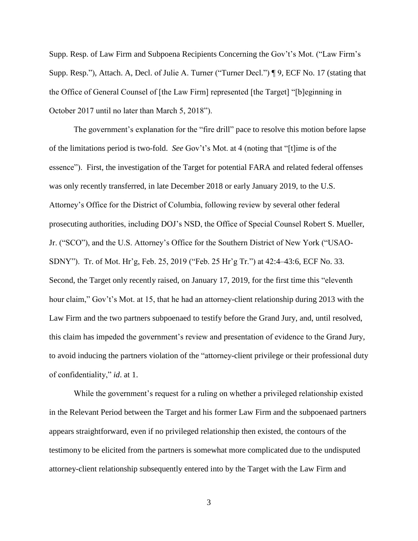Supp. Resp. of Law Firm and Subpoena Recipients Concerning the Gov't's Mot. ("Law Firm's Supp. Resp."), Attach. A, Decl. of Julie A. Turner ("Turner Decl.") ¶ 9, ECF No. 17 (stating that the Office of General Counsel of [the Law Firm] represented [the Target] "[b]eginning in October 2017 until no later than March 5, 2018").

The government's explanation for the "fire drill" pace to resolve this motion before lapse of the limitations period is two-fold. *See* Gov't's Mot. at 4 (noting that "[t]ime is of the essence"). First, the investigation of the Target for potential FARA and related federal offenses was only recently transferred, in late December 2018 or early January 2019, to the U.S. Attorney's Office for the District of Columbia, following review by several other federal prosecuting authorities, including DOJ's NSD, the Office of Special Counsel Robert S. Mueller, Jr. ("SCO"), and the U.S. Attorney's Office for the Southern District of New York ("USAO-SDNY"). Tr. of Mot. Hr'g, Feb. 25, 2019 ("Feb. 25 Hr'g Tr.") at 42:4–43:6, ECF No. 33. Second, the Target only recently raised, on January 17, 2019, for the first time this "eleventh hour claim," Gov't's Mot. at 15, that he had an attorney-client relationship during 2013 with the Law Firm and the two partners subpoenaed to testify before the Grand Jury, and, until resolved, this claim has impeded the government's review and presentation of evidence to the Grand Jury, to avoid inducing the partners violation of the "attorney-client privilege or their professional duty of confidentiality," *id*. at 1.

While the government's request for a ruling on whether a privileged relationship existed in the Relevant Period between the Target and his former Law Firm and the subpoenaed partners appears straightforward, even if no privileged relationship then existed, the contours of the testimony to be elicited from the partners is somewhat more complicated due to the undisputed attorney-client relationship subsequently entered into by the Target with the Law Firm and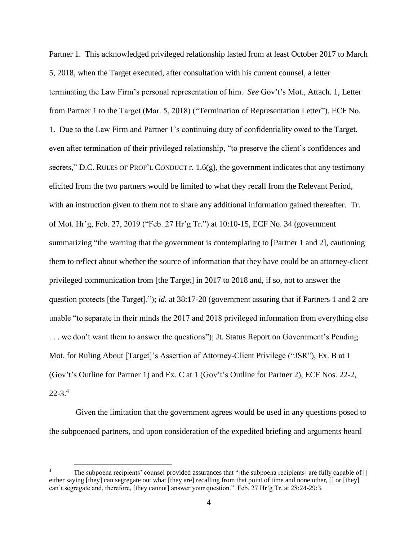Partner 1. This acknowledged privileged relationship lasted from at least October 2017 to March 5, 2018, when the Target executed, after consultation with his current counsel, a letter terminating the Law Firm's personal representation of him. *See* Gov't's Mot., Attach. 1, Letter from Partner 1 to the Target (Mar. 5, 2018) ("Termination of Representation Letter"), ECF No. 1. Due to the Law Firm and Partner 1's continuing duty of confidentiality owed to the Target, even after termination of their privileged relationship, "to preserve the client's confidences and secrets," D.C. RULES OF PROF'L CONDUCT r. 1.6(g), the government indicates that any testimony elicited from the two partners would be limited to what they recall from the Relevant Period, with an instruction given to them not to share any additional information gained thereafter. Tr. of Mot. Hr'g, Feb. 27, 2019 ("Feb. 27 Hr'g Tr.") at 10:10-15, ECF No. 34 (government summarizing "the warning that the government is contemplating to [Partner 1 and 2], cautioning them to reflect about whether the source of information that they have could be an attorney-client privileged communication from [the Target] in 2017 to 2018 and, if so, not to answer the question protects [the Target]."); *id.* at 38:17-20 (government assuring that if Partners 1 and 2 are unable "to separate in their minds the 2017 and 2018 privileged information from everything else . . . we don't want them to answer the questions"); Jt. Status Report on Government's Pending Mot. for Ruling About [Target]'s Assertion of Attorney-Client Privilege ("JSR"), Ex. B at 1 (Gov't's Outline for Partner 1) and Ex. C at 1 (Gov't's Outline for Partner 2), ECF Nos. 22-2,  $22 - 3.4$ 

Given the limitation that the government agrees would be used in any questions posed to the subpoenaed partners, and upon consideration of the expedited briefing and arguments heard

 $\overline{a}$ 

The subpoena recipients' counsel provided assurances that "[the subpoena recipients] are fully capable of [] either saying [they] can segregate out what [they are] recalling from that point of time and none other, [] or [they] can't segregate and, therefore, [they cannot] answer your question." Feb. 27 Hr'g Tr. at 28:24-29:3.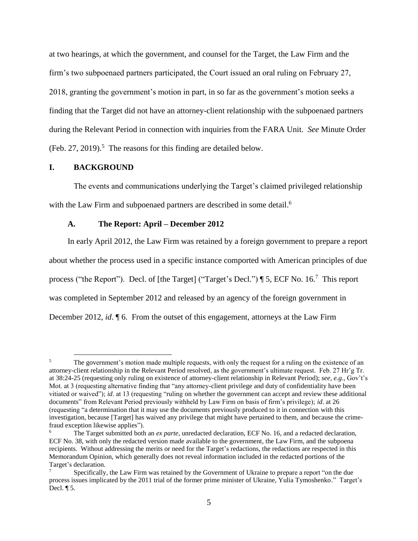at two hearings, at which the government, and counsel for the Target, the Law Firm and the firm's two subpoenaed partners participated, the Court issued an oral ruling on February 27, 2018, granting the government's motion in part, in so far as the government's motion seeks a finding that the Target did not have an attorney-client relationship with the subpoenaed partners during the Relevant Period in connection with inquiries from the FARA Unit. *See* Minute Order (Feb. 27, 2019).<sup>5</sup> The reasons for this finding are detailed below.

### **I. BACKGROUND**

 $\overline{a}$ 

The events and communications underlying the Target's claimed privileged relationship with the Law Firm and subpoenaed partners are described in some detail.<sup>6</sup>

## **A. The Report: April – December 2012**

In early April 2012, the Law Firm was retained by a foreign government to prepare a report about whether the process used in a specific instance comported with American principles of due process ("the Report"). Decl. of [the Target] ("Target's Decl.") ¶ 5, ECF No. 16.<sup>7</sup> This report was completed in September 2012 and released by an agency of the foreign government in December 2012, *id*. ¶ 6. From the outset of this engagement, attorneys at the Law Firm

<sup>&</sup>lt;sup>5</sup> The government's motion made multiple requests, with only the request for a ruling on the existence of an attorney-client relationship in the Relevant Period resolved, as the government's ultimate request. Feb. 27 Hr'g Tr. at 38:24-25 (requesting only ruling on existence of attorney-client relationship in Relevant Period); *see, e.g.,* Gov't's Mot. at 3 (requesting alternative finding that "any attorney-client privilege and duty of confidentiality have been vitiated or waived"); *id*. at 13 (requesting "ruling on whether the government can accept and review these additional documents" from Relevant Period previously withheld by Law Firm on basis of firm's privilege); *id*. at 26 (requesting "a determination that it may use the documents previously produced to it in connection with this investigation, because [Target] has waived any privilege that might have pertained to them, and because the crimefraud exception likewise applies").

<sup>6</sup> The Target submitted both an *ex parte*, unredacted declaration, ECF No. 16, and a redacted declaration, ECF No. 38, with only the redacted version made available to the government, the Law Firm, and the subpoena recipients. Without addressing the merits or need for the Target's redactions, the redactions are respected in this Memorandum Opinion, which generally does not reveal information included in the redacted portions of the Target's declaration.

<sup>7</sup> Specifically, the Law Firm was retained by the Government of Ukraine to prepare a report "on the due process issues implicated by the 2011 trial of the former prime minister of Ukraine, Yulia Tymoshenko." Target's Decl. ¶ 5.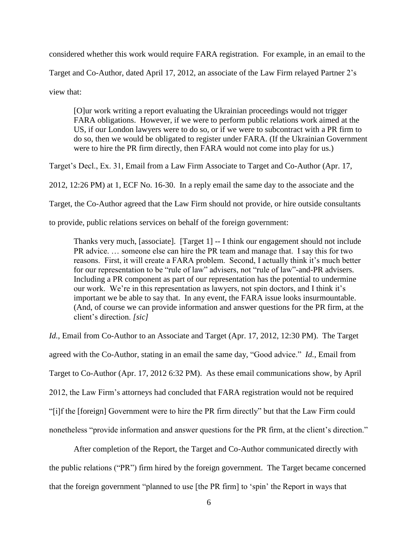considered whether this work would require FARA registration. For example, in an email to the Target and Co-Author, dated April 17, 2012, an associate of the Law Firm relayed Partner 2's view that:

[O]ur work writing a report evaluating the Ukrainian proceedings would not trigger FARA obligations. However, if we were to perform public relations work aimed at the US, if our London lawyers were to do so, or if we were to subcontract with a PR firm to do so, then we would be obligated to register under FARA. (If the Ukrainian Government were to hire the PR firm directly, then FARA would not come into play for us.)

Target's Decl., Ex. 31, Email from a Law Firm Associate to Target and Co-Author (Apr. 17,

2012, 12:26 PM) at 1, ECF No. 16-30. In a reply email the same day to the associate and the

Target, the Co-Author agreed that the Law Firm should not provide, or hire outside consultants

to provide, public relations services on behalf of the foreign government:

Thanks very much, [associate]. [Target 1] -- I think our engagement should not include PR advice. … someone else can hire the PR team and manage that. I say this for two reasons. First, it will create a FARA problem. Second, I actually think it's much better for our representation to be "rule of law" advisers, not "rule of law"-and-PR advisers. Including a PR component as part of our representation has the potential to undermine our work. We're in this representation as lawyers, not spin doctors, and I think it's important we be able to say that. In any event, the FARA issue looks insurmountable. (And, of course we can provide information and answer questions for the PR firm, at the client's direction. *[sic]*

*Id.*, Email from Co-Author to an Associate and Target (Apr. 17, 2012, 12:30 PM). The Target agreed with the Co-Author, stating in an email the same day, "Good advice." *Id.*, Email from Target to Co-Author (Apr. 17, 2012 6:32 PM). As these email communications show, by April 2012, the Law Firm's attorneys had concluded that FARA registration would not be required "[i]f the [foreign] Government were to hire the PR firm directly" but that the Law Firm could nonetheless "provide information and answer questions for the PR firm, at the client's direction."

After completion of the Report, the Target and Co-Author communicated directly with the public relations ("PR") firm hired by the foreign government. The Target became concerned that the foreign government "planned to use [the PR firm] to 'spin' the Report in ways that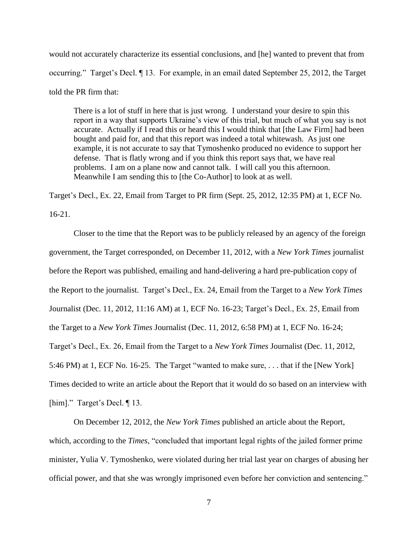would not accurately characterize its essential conclusions, and [he] wanted to prevent that from occurring." Target's Decl. ¶ 13. For example, in an email dated September 25, 2012, the Target told the PR firm that:

There is a lot of stuff in here that is just wrong. I understand your desire to spin this report in a way that supports Ukraine's view of this trial, but much of what you say is not accurate. Actually if I read this or heard this I would think that [the Law Firm] had been bought and paid for, and that this report was indeed a total whitewash. As just one example, it is not accurate to say that Tymoshenko produced no evidence to support her defense. That is flatly wrong and if you think this report says that, we have real problems. I am on a plane now and cannot talk. I will call you this afternoon. Meanwhile I am sending this to [the Co-Author] to look at as well.

Target's Decl., Ex. 22, Email from Target to PR firm (Sept. 25, 2012, 12:35 PM) at 1, ECF No.

16-21.

Closer to the time that the Report was to be publicly released by an agency of the foreign government, the Target corresponded, on December 11, 2012, with a *New York Times* journalist before the Report was published, emailing and hand-delivering a hard pre-publication copy of the Report to the journalist. Target's Decl., Ex. 24, Email from the Target to a *New York Times* Journalist (Dec. 11, 2012, 11:16 AM) at 1, ECF No. 16-23; Target's Decl., Ex. 25, Email from the Target to a *New York Times* Journalist (Dec. 11, 2012, 6:58 PM) at 1, ECF No. 16-24; Target's Decl., Ex. 26, Email from the Target to a *New York Times* Journalist (Dec. 11, 2012, 5:46 PM) at 1, ECF No. 16-25. The Target "wanted to make sure, . . . that if the [New York] Times decided to write an article about the Report that it would do so based on an interview with [him]." Target's Decl. ¶ 13.

On December 12, 2012, the *New York Times* published an article about the Report, which, according to the *Times*, "concluded that important legal rights of the jailed former prime minister, Yulia V. Tymoshenko, were violated during her trial last year on charges of abusing her official power, and that she was wrongly imprisoned even before her conviction and sentencing."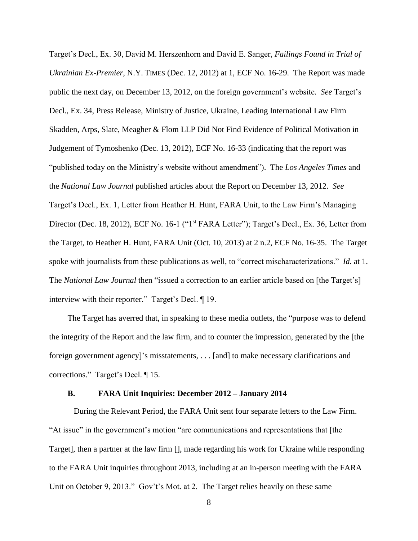Target's Decl., Ex. 30, David M. Herszenhorn and David E. Sanger, *Failings Found in Trial of Ukrainian Ex-Premier*, N.Y. TIMES (Dec. 12, 2012) at 1, ECF No. 16-29. The Report was made public the next day, on December 13, 2012, on the foreign government's website. *See* Target's Decl., Ex. 34, Press Release, Ministry of Justice, Ukraine, Leading International Law Firm Skadden, Arps, Slate, Meagher & Flom LLP Did Not Find Evidence of Political Motivation in Judgement of Tymoshenko (Dec. 13, 2012), ECF No. 16-33 (indicating that the report was "published today on the Ministry's website without amendment"). The *Los Angeles Times* and the *National Law Journal* published articles about the Report on December 13, 2012. *See*  Target's Decl., Ex. 1, Letter from Heather H. Hunt, FARA Unit, to the Law Firm's Managing Director (Dec. 18, 2012), ECF No. 16-1 ("1<sup>st</sup> FARA Letter"); Target's Decl., Ex. 36, Letter from the Target, to Heather H. Hunt, FARA Unit (Oct. 10, 2013) at 2 n.2, ECF No. 16-35. The Target spoke with journalists from these publications as well, to "correct mischaracterizations." *Id.* at 1. The *National Law Journal* then "issued a correction to an earlier article based on [the Target's] interview with their reporter." Target's Decl. ¶ 19.

The Target has averred that, in speaking to these media outlets, the "purpose was to defend the integrity of the Report and the law firm, and to counter the impression, generated by the [the foreign government agency]'s misstatements, . . . [and] to make necessary clarifications and corrections." Target's Decl. ¶ 15.

#### **B. FARA Unit Inquiries: December 2012 – January 2014**

During the Relevant Period, the FARA Unit sent four separate letters to the Law Firm. "At issue" in the government's motion "are communications and representations that [the Target], then a partner at the law firm [], made regarding his work for Ukraine while responding to the FARA Unit inquiries throughout 2013, including at an in-person meeting with the FARA Unit on October 9, 2013." Gov't's Mot. at 2. The Target relies heavily on these same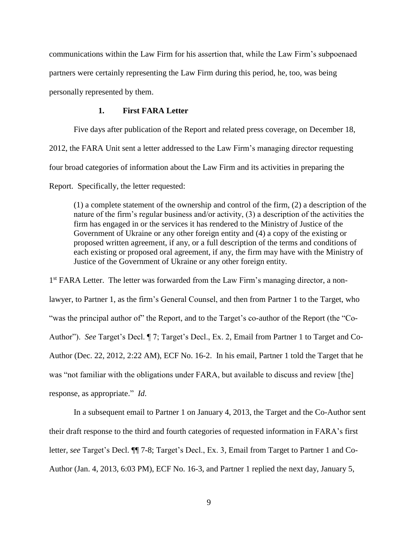communications within the Law Firm for his assertion that, while the Law Firm's subpoenaed partners were certainly representing the Law Firm during this period, he, too, was being personally represented by them.

## **1. First FARA Letter**

Five days after publication of the Report and related press coverage, on December 18, 2012, the FARA Unit sent a letter addressed to the Law Firm's managing director requesting four broad categories of information about the Law Firm and its activities in preparing the Report. Specifically, the letter requested:

(1) a complete statement of the ownership and control of the firm, (2) a description of the nature of the firm's regular business and/or activity, (3) a description of the activities the firm has engaged in or the services it has rendered to the Ministry of Justice of the Government of Ukraine or any other foreign entity and (4) a copy of the existing or proposed written agreement, if any, or a full description of the terms and conditions of each existing or proposed oral agreement, if any, the firm may have with the Ministry of Justice of the Government of Ukraine or any other foreign entity.

1<sup>st</sup> FARA Letter. The letter was forwarded from the Law Firm's managing director, a nonlawyer, to Partner 1, as the firm's General Counsel, and then from Partner 1 to the Target, who "was the principal author of" the Report, and to the Target's co-author of the Report (the "Co-Author"). *See* Target's Decl. ¶ 7; Target's Decl., Ex. 2, Email from Partner 1 to Target and Co-Author (Dec. 22, 2012, 2:22 AM), ECF No. 16-2. In his email, Partner 1 told the Target that he was "not familiar with the obligations under FARA, but available to discuss and review [the] response, as appropriate." *Id*.

In a subsequent email to Partner 1 on January 4, 2013, the Target and the Co-Author sent their draft response to the third and fourth categories of requested information in FARA's first letter, *see* Target's Decl. ¶¶ 7-8; Target's Decl., Ex. 3, Email from Target to Partner 1 and Co-Author (Jan. 4, 2013, 6:03 PM), ECF No. 16-3, and Partner 1 replied the next day, January 5,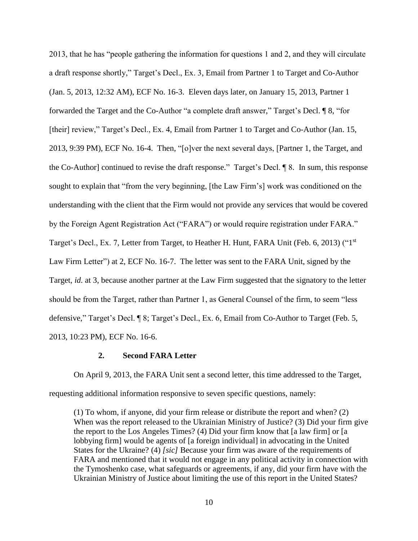2013, that he has "people gathering the information for questions 1 and 2, and they will circulate a draft response shortly," Target's Decl., Ex. 3, Email from Partner 1 to Target and Co-Author (Jan. 5, 2013, 12:32 AM), ECF No. 16-3. Eleven days later, on January 15, 2013, Partner 1 forwarded the Target and the Co-Author "a complete draft answer," Target's Decl. ¶ 8, "for [their] review," Target's Decl., Ex. 4, Email from Partner 1 to Target and Co-Author (Jan. 15, 2013, 9:39 PM), ECF No. 16-4. Then, "[o]ver the next several days, [Partner 1, the Target, and the Co-Author] continued to revise the draft response." Target's Decl. ¶ 8. In sum, this response sought to explain that "from the very beginning, [the Law Firm's] work was conditioned on the understanding with the client that the Firm would not provide any services that would be covered by the Foreign Agent Registration Act ("FARA") or would require registration under FARA." Target's Decl., Ex. 7, Letter from Target, to Heather H. Hunt, FARA Unit (Feb. 6, 2013) ("1<sup>st</sup> Law Firm Letter") at 2, ECF No. 16-7. The letter was sent to the FARA Unit, signed by the Target, *id.* at 3, because another partner at the Law Firm suggested that the signatory to the letter should be from the Target, rather than Partner 1, as General Counsel of the firm, to seem "less defensive," Target's Decl. ¶ 8; Target's Decl., Ex. 6, Email from Co-Author to Target (Feb. 5, 2013, 10:23 PM), ECF No. 16-6.

## **2. Second FARA Letter**

On April 9, 2013, the FARA Unit sent a second letter, this time addressed to the Target, requesting additional information responsive to seven specific questions, namely:

(1) To whom, if anyone, did your firm release or distribute the report and when? (2) When was the report released to the Ukrainian Ministry of Justice? (3) Did your firm give the report to the Los Angeles Times? (4) Did your firm know that [a law firm] or [a lobbying firm] would be agents of [a foreign individual] in advocating in the United States for the Ukraine? (4) *[sic]* Because your firm was aware of the requirements of FARA and mentioned that it would not engage in any political activity in connection with the Tymoshenko case, what safeguards or agreements, if any, did your firm have with the Ukrainian Ministry of Justice about limiting the use of this report in the United States?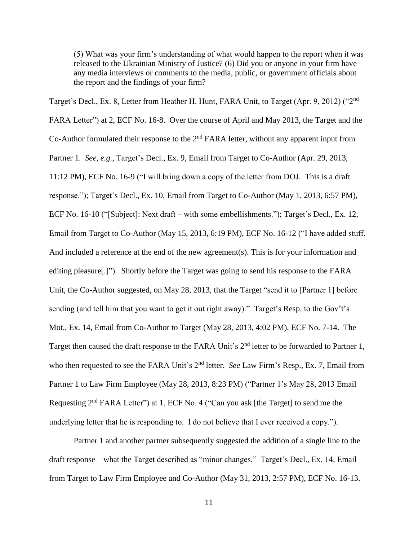(5) What was your firm's understanding of what would happen to the report when it was released to the Ukrainian Ministry of Justice? (6) Did you or anyone in your firm have any media interviews or comments to the media, public, or government officials about the report and the findings of your firm?

Target's Decl., Ex. 8, Letter from Heather H. Hunt, FARA Unit, to Target (Apr. 9, 2012) ("2nd FARA Letter") at 2, ECF No. 16-8. Over the course of April and May 2013, the Target and the Co-Author formulated their response to the 2<sup>nd</sup> FARA letter, without any apparent input from Partner 1. *See, e.g.*, Target's Decl., Ex. 9, Email from Target to Co-Author (Apr. 29, 2013, 11:12 PM), ECF No. 16-9 ("I will bring down a copy of the letter from DOJ. This is a draft response."); Target's Decl., Ex. 10, Email from Target to Co-Author (May 1, 2013, 6:57 PM), ECF No. 16-10 ("[Subject]: Next draft – with some embellishments."); Target's Decl., Ex. 12, Email from Target to Co-Author (May 15, 2013, 6:19 PM), ECF No. 16-12 ("I have added stuff. And included a reference at the end of the new agreement(s). This is for your information and editing pleasure[.]"). Shortly before the Target was going to send his response to the FARA Unit, the Co-Author suggested, on May 28, 2013, that the Target "send it to [Partner 1] before sending (and tell him that you want to get it out right away)." Target's Resp. to the Gov't's Mot., Ex. 14, Email from Co-Author to Target (May 28, 2013, 4:02 PM), ECF No. 7-14. The Target then caused the draft response to the FARA Unit's 2<sup>nd</sup> letter to be forwarded to Partner 1, who then requested to see the FARA Unit's 2<sup>nd</sup> letter. *See Law Firm's Resp., Ex. 7, Email from* Partner 1 to Law Firm Employee (May 28, 2013, 8:23 PM) ("Partner 1's May 28, 2013 Email Requesting  $2<sup>nd</sup> FARA Letter'$  at 1, ECF No. 4 ("Can you ask [the Target] to send me the underlying letter that he is responding to. I do not believe that I ever received a copy.").

Partner 1 and another partner subsequently suggested the addition of a single line to the draft response—what the Target described as "minor changes." Target's Decl., Ex. 14, Email from Target to Law Firm Employee and Co-Author (May 31, 2013, 2:57 PM), ECF No. 16-13.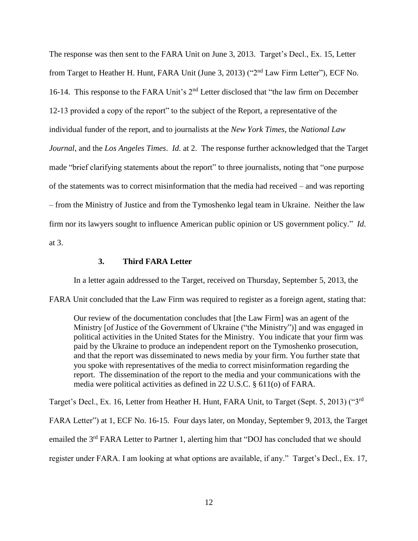The response was then sent to the FARA Unit on June 3, 2013. Target's Decl., Ex. 15, Letter from Target to Heather H. Hunt, FARA Unit (June 3, 2013) ("2nd Law Firm Letter"), ECF No. 16-14. This response to the FARA Unit's 2nd Letter disclosed that "the law firm on December 12-13 provided a copy of the report" to the subject of the Report, a representative of the individual funder of the report, and to journalists at the *New York Times*, the *National Law Journal*, and the *Los Angeles Times*. *Id.* at 2. The response further acknowledged that the Target made "brief clarifying statements about the report" to three journalists, noting that "one purpose of the statements was to correct misinformation that the media had received – and was reporting – from the Ministry of Justice and from the Tymoshenko legal team in Ukraine. Neither the law firm nor its lawyers sought to influence American public opinion or US government policy." *Id*. at 3.

### **3. Third FARA Letter**

In a letter again addressed to the Target, received on Thursday, September 5, 2013, the

FARA Unit concluded that the Law Firm was required to register as a foreign agent, stating that:

Our review of the documentation concludes that [the Law Firm] was an agent of the Ministry [of Justice of the Government of Ukraine ("the Ministry")] and was engaged in political activities in the United States for the Ministry. You indicate that your firm was paid by the Ukraine to produce an independent report on the Tymoshenko prosecution, and that the report was disseminated to news media by your firm. You further state that you spoke with representatives of the media to correct misinformation regarding the report. The dissemination of the report to the media and your communications with the media were political activities as defined in 22 U.S.C. § 611(o) of FARA.

Target's Decl., Ex. 16, Letter from Heather H. Hunt, FARA Unit, to Target (Sept. 5, 2013) ("3rd FARA Letter") at 1, ECF No. 16-15. Four days later, on Monday, September 9, 2013, the Target emailed the 3rd FARA Letter to Partner 1, alerting him that "DOJ has concluded that we should register under FARA. I am looking at what options are available, if any." Target's Decl., Ex. 17,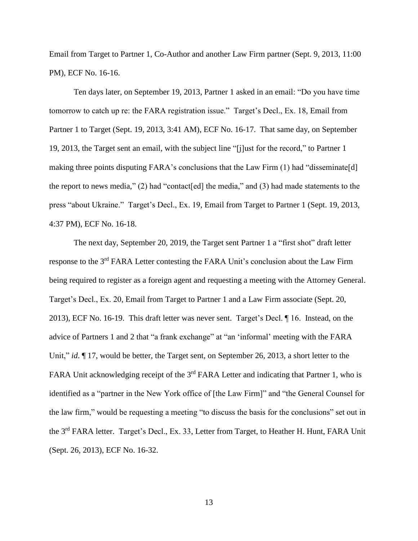Email from Target to Partner 1, Co-Author and another Law Firm partner (Sept. 9, 2013, 11:00 PM), ECF No. 16-16.

Ten days later, on September 19, 2013, Partner 1 asked in an email: "Do you have time tomorrow to catch up re: the FARA registration issue." Target's Decl., Ex. 18, Email from Partner 1 to Target (Sept. 19, 2013, 3:41 AM), ECF No. 16-17. That same day, on September 19, 2013, the Target sent an email, with the subject line "[j]ust for the record," to Partner 1 making three points disputing FARA's conclusions that the Law Firm (1) had "disseminate[d] the report to news media," (2) had "contact[ed] the media," and (3) had made statements to the press "about Ukraine." Target's Decl., Ex. 19, Email from Target to Partner 1 (Sept. 19, 2013, 4:37 PM), ECF No. 16-18.

The next day, September 20, 2019, the Target sent Partner 1 a "first shot" draft letter response to the 3rd FARA Letter contesting the FARA Unit's conclusion about the Law Firm being required to register as a foreign agent and requesting a meeting with the Attorney General. Target's Decl., Ex. 20, Email from Target to Partner 1 and a Law Firm associate (Sept. 20, 2013), ECF No. 16-19. This draft letter was never sent. Target's Decl. ¶ 16. Instead, on the advice of Partners 1 and 2 that "a frank exchange" at "an 'informal' meeting with the FARA Unit," *id*.  $\P$  17, would be better, the Target sent, on September 26, 2013, a short letter to the FARA Unit acknowledging receipt of the 3<sup>rd</sup> FARA Letter and indicating that Partner 1, who is identified as a "partner in the New York office of [the Law Firm]" and "the General Counsel for the law firm," would be requesting a meeting "to discuss the basis for the conclusions" set out in the 3<sup>rd</sup> FARA letter. Target's Decl., Ex. 33, Letter from Target, to Heather H. Hunt, FARA Unit (Sept. 26, 2013), ECF No. 16-32.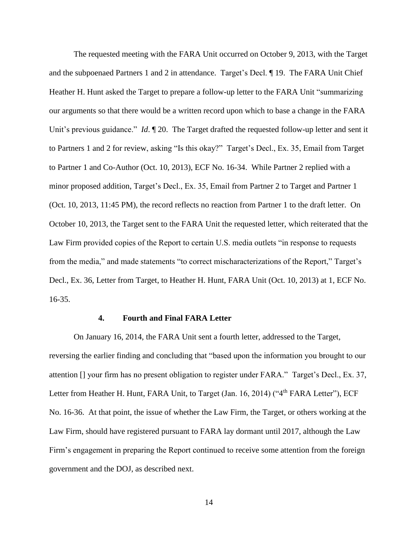The requested meeting with the FARA Unit occurred on October 9, 2013, with the Target and the subpoenaed Partners 1 and 2 in attendance. Target's Decl. ¶ 19. The FARA Unit Chief Heather H. Hunt asked the Target to prepare a follow-up letter to the FARA Unit "summarizing our arguments so that there would be a written record upon which to base a change in the FARA Unit's previous guidance." *Id*.  $\llbracket 20$ . The Target drafted the requested follow-up letter and sent it to Partners 1 and 2 for review, asking "Is this okay?" Target's Decl., Ex. 35, Email from Target to Partner 1 and Co-Author (Oct. 10, 2013), ECF No. 16-34. While Partner 2 replied with a minor proposed addition, Target's Decl., Ex. 35, Email from Partner 2 to Target and Partner 1 (Oct. 10, 2013, 11:45 PM), the record reflects no reaction from Partner 1 to the draft letter. On October 10, 2013, the Target sent to the FARA Unit the requested letter, which reiterated that the Law Firm provided copies of the Report to certain U.S. media outlets "in response to requests from the media," and made statements "to correct mischaracterizations of the Report," Target's Decl., Ex. 36, Letter from Target, to Heather H. Hunt, FARA Unit (Oct. 10, 2013) at 1, ECF No. 16-35.

#### **4. Fourth and Final FARA Letter**

On January 16, 2014, the FARA Unit sent a fourth letter, addressed to the Target, reversing the earlier finding and concluding that "based upon the information you brought to our attention [] your firm has no present obligation to register under FARA." Target's Decl., Ex. 37, Letter from Heather H. Hunt, FARA Unit, to Target (Jan. 16, 2014) ("4<sup>th</sup> FARA Letter"), ECF No. 16-36. At that point, the issue of whether the Law Firm, the Target, or others working at the Law Firm, should have registered pursuant to FARA lay dormant until 2017, although the Law Firm's engagement in preparing the Report continued to receive some attention from the foreign government and the DOJ, as described next.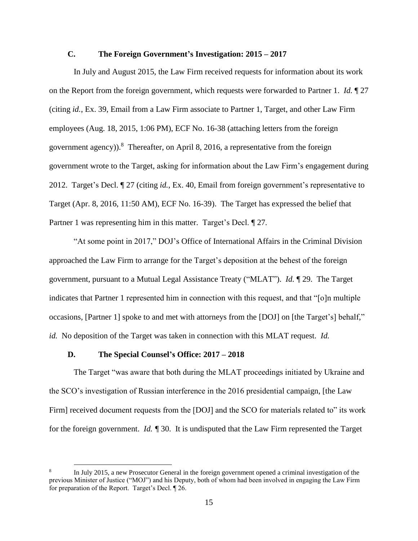# **C. The Foreign Government's Investigation: 2015 – 2017**

In July and August 2015, the Law Firm received requests for information about its work on the Report from the foreign government, which requests were forwarded to Partner 1. *Id.* ¶ 27 (citing *id.*, Ex. 39, Email from a Law Firm associate to Partner 1, Target, and other Law Firm employees (Aug. 18, 2015, 1:06 PM), ECF No. 16-38 (attaching letters from the foreign government agency)).<sup>8</sup> Thereafter, on April 8, 2016, a representative from the foreign government wrote to the Target, asking for information about the Law Firm's engagement during 2012. Target's Decl. ¶ 27 (citing *id.*, Ex. 40, Email from foreign government's representative to Target (Apr. 8, 2016, 11:50 AM), ECF No. 16-39). The Target has expressed the belief that Partner 1 was representing him in this matter. Target's Decl. ¶ 27*.*

"At some point in 2017," DOJ's Office of International Affairs in the Criminal Division approached the Law Firm to arrange for the Target's deposition at the behest of the foreign government, pursuant to a Mutual Legal Assistance Treaty ("MLAT"). *Id.* ¶ 29. The Target indicates that Partner 1 represented him in connection with this request, and that "[o]n multiple occasions, [Partner 1] spoke to and met with attorneys from the [DOJ] on [the Target's] behalf," *id.* No deposition of the Target was taken in connection with this MLAT request. *Id.*

# **D. The Special Counsel's Office: 2017 – 2018**

 $\overline{a}$ 

The Target "was aware that both during the MLAT proceedings initiated by Ukraine and the SCO's investigation of Russian interference in the 2016 presidential campaign, [the Law Firm] received document requests from the [DOJ] and the SCO for materials related to" its work for the foreign government. *Id. ¶* 30. It is undisputed that the Law Firm represented the Target

<sup>8</sup> In July 2015, a new Prosecutor General in the foreign government opened a criminal investigation of the previous Minister of Justice ("MOJ") and his Deputy, both of whom had been involved in engaging the Law Firm for preparation of the Report. Target's Decl. ¶ 26.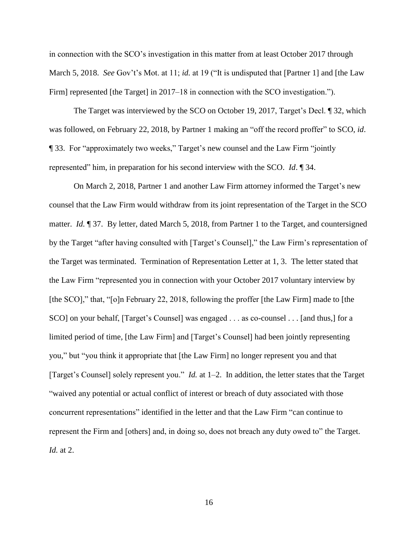in connection with the SCO's investigation in this matter from at least October 2017 through March 5, 2018. *See* Gov't's Mot. at 11; *id.* at 19 ("It is undisputed that [Partner 1] and [the Law Firm] represented [the Target] in 2017–18 in connection with the SCO investigation.").

The Target was interviewed by the SCO on October 19, 2017, Target's Decl. ¶ 32, which was followed, on February 22, 2018, by Partner 1 making an "off the record proffer" to SCO, *id*. ¶ 33. For "approximately two weeks," Target's new counsel and the Law Firm "jointly represented" him, in preparation for his second interview with the SCO. *Id*. ¶ 34.

On March 2, 2018, Partner 1 and another Law Firm attorney informed the Target's new counsel that the Law Firm would withdraw from its joint representation of the Target in the SCO matter. *Id.* ¶ 37. By letter, dated March 5, 2018, from Partner 1 to the Target, and countersigned by the Target "after having consulted with [Target's Counsel]," the Law Firm's representation of the Target was terminated. Termination of Representation Letter at 1, 3. The letter stated that the Law Firm "represented you in connection with your October 2017 voluntary interview by [the SCO]," that, "[o]n February 22, 2018, following the proffer [the Law Firm] made to [the SCO] on your behalf, [Target's Counsel] was engaged . . . as co-counsel . . . [and thus,] for a limited period of time, [the Law Firm] and [Target's Counsel] had been jointly representing you," but "you think it appropriate that [the Law Firm] no longer represent you and that [Target's Counsel] solely represent you." *Id.* at 1–2. In addition, the letter states that the Target "waived any potential or actual conflict of interest or breach of duty associated with those concurrent representations" identified in the letter and that the Law Firm "can continue to represent the Firm and [others] and, in doing so, does not breach any duty owed to" the Target. *Id.* at 2.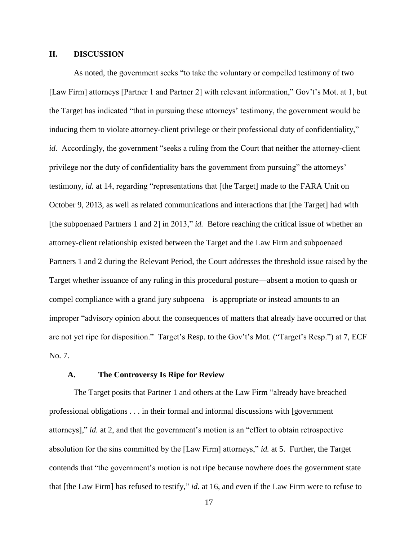# **II. DISCUSSION**

As noted, the government seeks "to take the voluntary or compelled testimony of two [Law Firm] attorneys [Partner 1 and Partner 2] with relevant information," Gov't's Mot. at 1, but the Target has indicated "that in pursuing these attorneys' testimony, the government would be inducing them to violate attorney-client privilege or their professional duty of confidentiality," *id.* Accordingly, the government "seeks a ruling from the Court that neither the attorney-client privilege nor the duty of confidentiality bars the government from pursuing" the attorneys' testimony, *id.* at 14, regarding "representations that [the Target] made to the FARA Unit on October 9, 2013, as well as related communications and interactions that [the Target] had with [the subpoenaed Partners 1 and 2] in 2013," *id.* Before reaching the critical issue of whether an attorney-client relationship existed between the Target and the Law Firm and subpoenaed Partners 1 and 2 during the Relevant Period, the Court addresses the threshold issue raised by the Target whether issuance of any ruling in this procedural posture—absent a motion to quash or compel compliance with a grand jury subpoena—is appropriate or instead amounts to an improper "advisory opinion about the consequences of matters that already have occurred or that are not yet ripe for disposition." Target's Resp. to the Gov't's Mot. ("Target's Resp.") at 7, ECF No. 7.

## **A. The Controversy Is Ripe for Review**

The Target posits that Partner 1 and others at the Law Firm "already have breached professional obligations . . . in their formal and informal discussions with [government attorneys]," *id.* at 2, and that the government's motion is an "effort to obtain retrospective absolution for the sins committed by the [Law Firm] attorneys," *id.* at 5. Further, the Target contends that "the government's motion is not ripe because nowhere does the government state that [the Law Firm] has refused to testify," *id.* at 16, and even if the Law Firm were to refuse to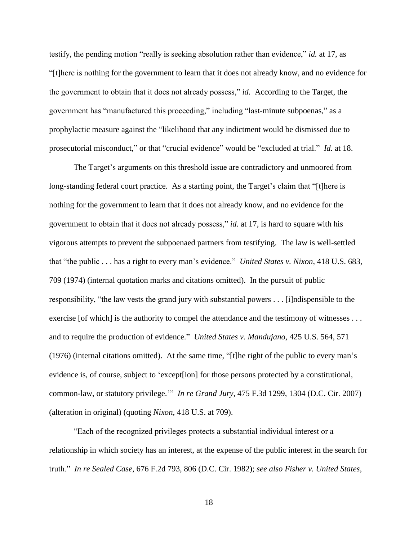testify, the pending motion "really is seeking absolution rather than evidence," *id.* at 17, as "[t]here is nothing for the government to learn that it does not already know, and no evidence for the government to obtain that it does not already possess," *id.* According to the Target, the government has "manufactured this proceeding," including "last-minute subpoenas," as a prophylactic measure against the "likelihood that any indictment would be dismissed due to prosecutorial misconduct," or that "crucial evidence" would be "excluded at trial." *Id.* at 18.

The Target's arguments on this threshold issue are contradictory and unmoored from long-standing federal court practice. As a starting point, the Target's claim that "[t]here is nothing for the government to learn that it does not already know, and no evidence for the government to obtain that it does not already possess," *id.* at 17, is hard to square with his vigorous attempts to prevent the subpoenaed partners from testifying. The law is well-settled that "the public . . . has a right to every man's evidence." *United States v. Nixon*, 418 U.S. 683, 709 (1974) (internal quotation marks and citations omitted). In the pursuit of public responsibility, "the law vests the grand jury with substantial powers . . . [i]ndispensible to the exercise [of which] is the authority to compel the attendance and the testimony of witnesses . . . and to require the production of evidence." *United States v. Mandujano,* 425 U.S. 564, 571 (1976) (internal citations omitted). At the same time, "[t]he right of the public to every man's evidence is, of course, subject to 'except[ion] for those persons protected by a constitutional, common-law, or statutory privilege.'" *In re Grand Jury*, 475 F.3d 1299, 1304 (D.C. Cir. 2007) (alteration in original) (quoting *Nixon*, 418 U.S. at 709).

"Each of the recognized privileges protects a substantial individual interest or a relationship in which society has an interest, at the expense of the public interest in the search for truth." *In re Sealed Case*, 676 F.2d 793, 806 (D.C. Cir. 1982); *see also Fisher v. United States*,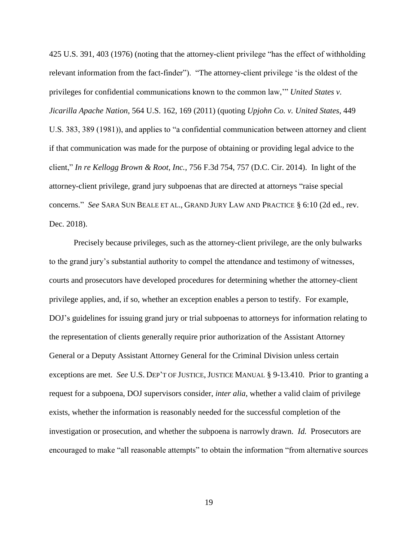425 U.S. 391, 403 (1976) (noting that the attorney-client privilege "has the effect of withholding relevant information from the fact-finder"). "The attorney-client privilege 'is the oldest of the privileges for confidential communications known to the common law,'" *United States v. Jicarilla Apache Nation*, 564 U.S. 162, 169 (2011) (quoting *Upjohn Co. v. United States*, 449 U.S. 383, 389 (1981)), and applies to "a confidential communication between attorney and client if that communication was made for the purpose of obtaining or providing legal advice to the client," *In re Kellogg Brown & Root, Inc.*, 756 F.3d 754, 757 (D.C. Cir. 2014). In light of the attorney-client privilege, grand jury subpoenas that are directed at attorneys "raise special concerns." *See* SARA SUN BEALE ET AL., GRAND JURY LAW AND PRACTICE § 6:10 (2d ed., rev. Dec. 2018).

Precisely because privileges, such as the attorney-client privilege, are the only bulwarks to the grand jury's substantial authority to compel the attendance and testimony of witnesses, courts and prosecutors have developed procedures for determining whether the attorney-client privilege applies, and, if so, whether an exception enables a person to testify. For example, DOJ's guidelines for issuing grand jury or trial subpoenas to attorneys for information relating to the representation of clients generally require prior authorization of the Assistant Attorney General or a Deputy Assistant Attorney General for the Criminal Division unless certain exceptions are met. *See* U.S. DEP'T OF JUSTICE, JUSTICE MANUAL § 9-13.410. Prior to granting a request for a subpoena, DOJ supervisors consider, *inter alia*, whether a valid claim of privilege exists, whether the information is reasonably needed for the successful completion of the investigation or prosecution, and whether the subpoena is narrowly drawn. *Id.* Prosecutors are encouraged to make "all reasonable attempts" to obtain the information "from alternative sources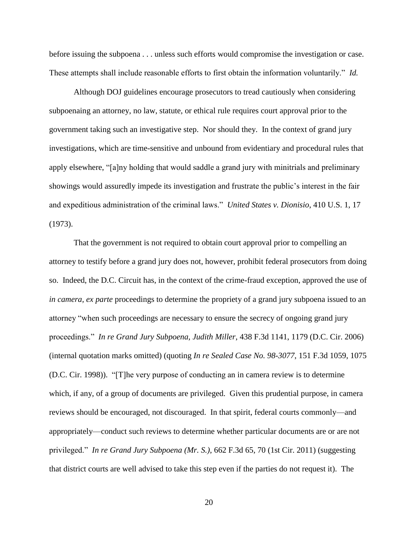before issuing the subpoena . . . unless such efforts would compromise the investigation or case. These attempts shall include reasonable efforts to first obtain the information voluntarily." *Id.* 

Although DOJ guidelines encourage prosecutors to tread cautiously when considering subpoenaing an attorney, no law, statute, or ethical rule requires court approval prior to the government taking such an investigative step. Nor should they. In the context of grand jury investigations, which are time-sensitive and unbound from evidentiary and procedural rules that apply elsewhere, "[a]ny holding that would saddle a grand jury with minitrials and preliminary showings would assuredly impede its investigation and frustrate the public's interest in the fair and expeditious administration of the criminal laws." *United States v. Dionisio*, 410 U.S. 1, 17 (1973).

That the government is not required to obtain court approval prior to compelling an attorney to testify before a grand jury does not, however, prohibit federal prosecutors from doing so. Indeed, the D.C. Circuit has, in the context of the crime-fraud exception, approved the use of *in camera, ex parte* proceedings to determine the propriety of a grand jury subpoena issued to an attorney "when such proceedings are necessary to ensure the secrecy of ongoing grand jury proceedings." *In re Grand Jury Subpoena, Judith Miller*, 438 F.3d 1141, 1179 (D.C. Cir. 2006) (internal quotation marks omitted) (quoting *In re Sealed Case No. 98-3077*, 151 F.3d 1059, 1075 (D.C. Cir. 1998)). "[T]he very purpose of conducting an in camera review is to determine which, if any, of a group of documents are privileged. Given this prudential purpose, in camera reviews should be encouraged, not discouraged. In that spirit, federal courts commonly—and appropriately—conduct such reviews to determine whether particular documents are or are not privileged." *In re Grand Jury Subpoena (Mr. S.)*, 662 F.3d 65, 70 (1st Cir. 2011) (suggesting that district courts are well advised to take this step even if the parties do not request it). The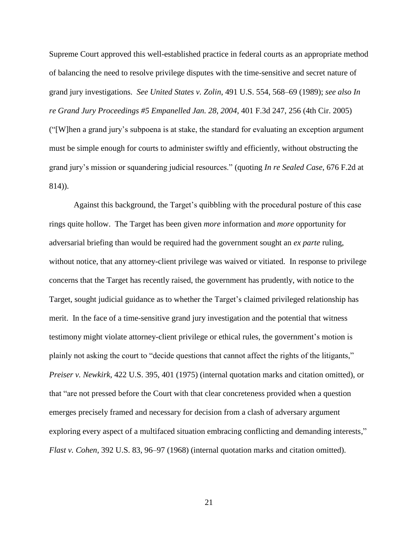Supreme Court approved this well-established practice in federal courts as an appropriate method of balancing the need to resolve privilege disputes with the time-sensitive and secret nature of grand jury investigations. *See United States v. Zolin*, 491 U.S. 554, 568–69 (1989); *see also In re Grand Jury Proceedings #5 Empanelled Jan. 28, 2004*, 401 F.3d 247, 256 (4th Cir. 2005) ("[W]hen a grand jury's subpoena is at stake, the standard for evaluating an exception argument must be simple enough for courts to administer swiftly and efficiently, without obstructing the grand jury's mission or squandering judicial resources." (quoting *In re Sealed Case*, 676 F.2d at 814)).

Against this background, the Target's quibbling with the procedural posture of this case rings quite hollow. The Target has been given *more* information and *more* opportunity for adversarial briefing than would be required had the government sought an *ex parte* ruling, without notice, that any attorney-client privilege was waived or vitiated. In response to privilege concerns that the Target has recently raised, the government has prudently, with notice to the Target, sought judicial guidance as to whether the Target's claimed privileged relationship has merit. In the face of a time-sensitive grand jury investigation and the potential that witness testimony might violate attorney-client privilege or ethical rules, the government's motion is plainly not asking the court to "decide questions that cannot affect the rights of the litigants," *Preiser v. Newkirk*, 422 U.S. 395, 401 (1975) (internal quotation marks and citation omitted), or that "are not pressed before the Court with that clear concreteness provided when a question emerges precisely framed and necessary for decision from a clash of adversary argument exploring every aspect of a multifaced situation embracing conflicting and demanding interests," *Flast v. Cohen*, 392 U.S. 83, 96–97 (1968) (internal quotation marks and citation omitted).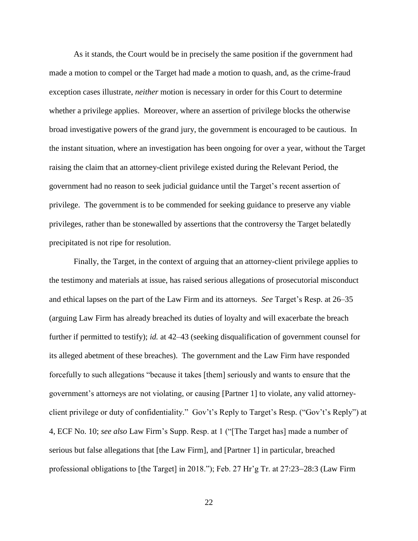As it stands, the Court would be in precisely the same position if the government had made a motion to compel or the Target had made a motion to quash, and, as the crime-fraud exception cases illustrate, *neither* motion is necessary in order for this Court to determine whether a privilege applies. Moreover, where an assertion of privilege blocks the otherwise broad investigative powers of the grand jury, the government is encouraged to be cautious. In the instant situation, where an investigation has been ongoing for over a year, without the Target raising the claim that an attorney-client privilege existed during the Relevant Period, the government had no reason to seek judicial guidance until the Target's recent assertion of privilege. The government is to be commended for seeking guidance to preserve any viable privileges, rather than be stonewalled by assertions that the controversy the Target belatedly precipitated is not ripe for resolution.

Finally, the Target, in the context of arguing that an attorney-client privilege applies to the testimony and materials at issue, has raised serious allegations of prosecutorial misconduct and ethical lapses on the part of the Law Firm and its attorneys. *See* Target's Resp. at 26–35 (arguing Law Firm has already breached its duties of loyalty and will exacerbate the breach further if permitted to testify); *id.* at 42–43 (seeking disqualification of government counsel for its alleged abetment of these breaches). The government and the Law Firm have responded forcefully to such allegations "because it takes [them] seriously and wants to ensure that the government's attorneys are not violating, or causing [Partner 1] to violate, any valid attorneyclient privilege or duty of confidentiality." Gov't's Reply to Target's Resp. ("Gov't's Reply") at 4, ECF No. 10; *see also* Law Firm's Supp. Resp. at 1 ("[The Target has] made a number of serious but false allegations that [the Law Firm], and [Partner 1] in particular, breached professional obligations to [the Target] in 2018."); Feb. 27 Hr'g Tr. at 27:23–28:3 (Law Firm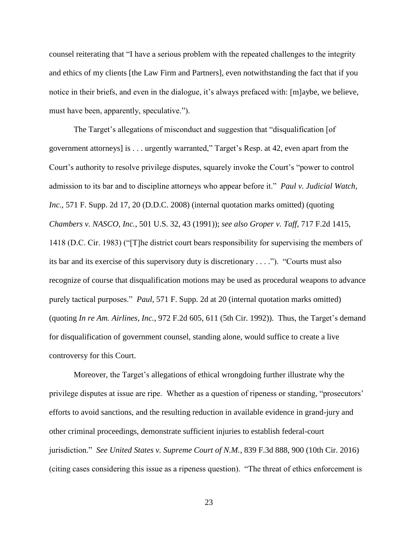counsel reiterating that "I have a serious problem with the repeated challenges to the integrity and ethics of my clients [the Law Firm and Partners], even notwithstanding the fact that if you notice in their briefs, and even in the dialogue, it's always prefaced with: [m]aybe, we believe, must have been, apparently, speculative.").

The Target's allegations of misconduct and suggestion that "disqualification [of government attorneys] is . . . urgently warranted," Target's Resp. at 42, even apart from the Court's authority to resolve privilege disputes, squarely invoke the Court's "power to control admission to its bar and to discipline attorneys who appear before it." *Paul v. Judicial Watch, Inc.*, 571 F. Supp. 2d 17, 20 (D.D.C. 2008) (internal quotation marks omitted) (quoting *Chambers v. NASCO, Inc.*, 501 U.S. 32, 43 (1991)); *see also Groper v. Taff*, 717 F.2d 1415, 1418 (D.C. Cir. 1983) ("[T]he district court bears responsibility for supervising the members of its bar and its exercise of this supervisory duty is discretionary . . . ."). "Courts must also recognize of course that disqualification motions may be used as procedural weapons to advance purely tactical purposes." *Paul*, 571 F. Supp. 2d at 20 (internal quotation marks omitted) (quoting *In re Am. Airlines, Inc.*, 972 F.2d 605, 611 (5th Cir. 1992)). Thus, the Target's demand for disqualification of government counsel, standing alone, would suffice to create a live controversy for this Court.

Moreover, the Target's allegations of ethical wrongdoing further illustrate why the privilege disputes at issue are ripe. Whether as a question of ripeness or standing, "prosecutors' efforts to avoid sanctions, and the resulting reduction in available evidence in grand-jury and other criminal proceedings, demonstrate sufficient injuries to establish federal-court jurisdiction." *See United States v. Supreme Court of N.M.*, 839 F.3d 888, 900 (10th Cir. 2016) (citing cases considering this issue as a ripeness question). "The threat of ethics enforcement is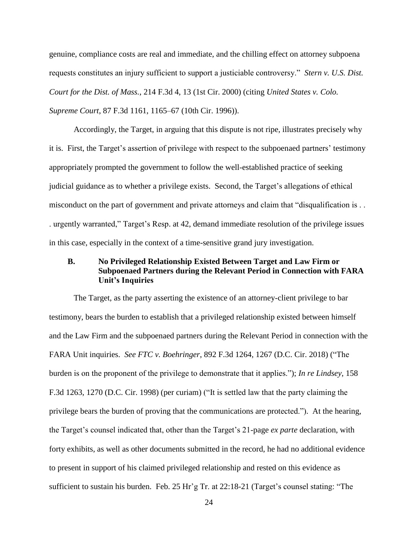genuine, compliance costs are real and immediate, and the chilling effect on attorney subpoena requests constitutes an injury sufficient to support a justiciable controversy." *Stern v. U.S. Dist. Court for the Dist. of Mass.*, 214 F.3d 4, 13 (1st Cir. 2000) (citing *United States v. Colo. Supreme Court*, 87 F.3d 1161, 1165–67 (10th Cir. 1996)).

Accordingly, the Target, in arguing that this dispute is not ripe, illustrates precisely why it is. First, the Target's assertion of privilege with respect to the subpoenaed partners' testimony appropriately prompted the government to follow the well-established practice of seeking judicial guidance as to whether a privilege exists. Second, the Target's allegations of ethical misconduct on the part of government and private attorneys and claim that "disqualification is . . . urgently warranted," Target's Resp. at 42, demand immediate resolution of the privilege issues in this case, especially in the context of a time-sensitive grand jury investigation.

# **B. No Privileged Relationship Existed Between Target and Law Firm or Subpoenaed Partners during the Relevant Period in Connection with FARA Unit's Inquiries**

The Target, as the party asserting the existence of an attorney-client privilege to bar testimony, bears the burden to establish that a privileged relationship existed between himself and the Law Firm and the subpoenaed partners during the Relevant Period in connection with the FARA Unit inquiries. *See FTC v. Boehringer*, 892 F.3d 1264, 1267 (D.C. Cir. 2018) ("The burden is on the proponent of the privilege to demonstrate that it applies."); *In re Lindsey*, 158 F.3d 1263, 1270 (D.C. Cir. 1998) (per curiam) ("It is settled law that the party claiming the privilege bears the burden of proving that the communications are protected."). At the hearing, the Target's counsel indicated that, other than the Target's 21-page *ex parte* declaration, with forty exhibits, as well as other documents submitted in the record, he had no additional evidence to present in support of his claimed privileged relationship and rested on this evidence as sufficient to sustain his burden. Feb. 25 Hr'g Tr. at 22:18-21 (Target's counsel stating: "The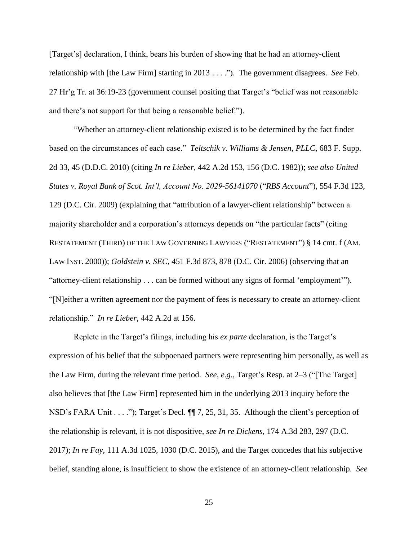[Target's] declaration, I think, bears his burden of showing that he had an attorney-client relationship with [the Law Firm] starting in 2013 . . . ."). The government disagrees. *See* Feb. 27 Hr'g Tr. at 36:19-23 (government counsel positing that Target's "belief was not reasonable and there's not support for that being a reasonable belief.").

"Whether an attorney-client relationship existed is to be determined by the fact finder based on the circumstances of each case." *Teltschik v. Williams & Jensen*, *PLLC*, 683 F. Supp. 2d 33, 45 (D.D.C. 2010) (citing *In re Lieber*, 442 A.2d 153, 156 (D.C. 1982)); *see also United States v. Royal Bank of Scot. Int'l, Account No. 2029-56141070* ("*RBS Account*"), 554 F.3d 123, 129 (D.C. Cir. 2009) (explaining that "attribution of a lawyer-client relationship" between a majority shareholder and a corporation's attorneys depends on "the particular facts" (citing RESTATEMENT (THIRD) OF THE LAW GOVERNING LAWYERS ("RESTATEMENT") § 14 cmt. f (AM. LAW INST. 2000)); *Goldstein v. SEC*, 451 F.3d 873, 878 (D.C. Cir. 2006) (observing that an "attorney-client relationship . . . can be formed without any signs of formal 'employment'"). "[N]either a written agreement nor the payment of fees is necessary to create an attorney-client relationship." *In re Lieber*, 442 A.2d at 156.

Replete in the Target's filings, including his *ex parte* declaration, is the Target's expression of his belief that the subpoenaed partners were representing him personally, as well as the Law Firm, during the relevant time period. *See, e.g.*, Target's Resp. at 2–3 ("[The Target] also believes that [the Law Firm] represented him in the underlying 2013 inquiry before the NSD's FARA Unit . . . ."); Target's Decl.  $\P$ [ 7, 25, 31, 35. Although the client's perception of the relationship is relevant, it is not dispositive, *see In re Dickens*, 174 A.3d 283, 297 (D.C. 2017); *In re Fay*, 111 A.3d 1025, 1030 (D.C. 2015), and the Target concedes that his subjective belief, standing alone, is insufficient to show the existence of an attorney-client relationship. *See*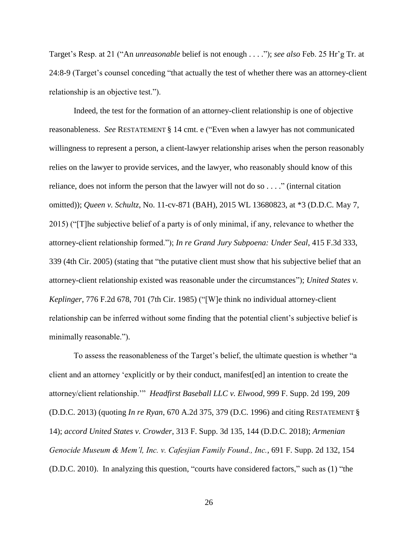Target's Resp. at 21 ("An *unreasonable* belief is not enough . . . ."); *see also* Feb. 25 Hr'g Tr. at 24:8-9 (Target's counsel conceding "that actually the test of whether there was an attorney-client relationship is an objective test.").

Indeed, the test for the formation of an attorney-client relationship is one of objective reasonableness. *See* RESTATEMENT § 14 cmt. e ("Even when a lawyer has not communicated willingness to represent a person, a client-lawyer relationship arises when the person reasonably relies on the lawyer to provide services, and the lawyer, who reasonably should know of this reliance, does not inform the person that the lawyer will not do so . . . ." (internal citation omitted)); *Queen v. Schultz*, No. 11-cv-871 (BAH), 2015 WL 13680823, at \*3 (D.D.C. May 7, 2015) ("[T]he subjective belief of a party is of only minimal, if any, relevance to whether the attorney-client relationship formed."); *In re Grand Jury Subpoena: Under Seal*, 415 F.3d 333, 339 (4th Cir. 2005) (stating that "the putative client must show that his subjective belief that an attorney-client relationship existed was reasonable under the circumstances"); *United States v. Keplinger*, 776 F.2d 678, 701 (7th Cir. 1985) ("[W]e think no individual attorney-client relationship can be inferred without some finding that the potential client's subjective belief is minimally reasonable.").

To assess the reasonableness of the Target's belief, the ultimate question is whether "a client and an attorney 'explicitly or by their conduct, manifest[ed] an intention to create the attorney/client relationship.'" *Headfirst Baseball LLC v. Elwood*, 999 F. Supp. 2d 199, 209 (D.D.C. 2013) (quoting *In re Ryan*, 670 A.2d 375, 379 (D.C. 1996) and citing RESTATEMENT § 14); *accord United States v. Crowder*, 313 F. Supp. 3d 135, 144 (D.D.C. 2018); *Armenian Genocide Museum & Mem'l, Inc. v. Cafesjian Family Found., Inc.*, 691 F. Supp. 2d 132, 154 (D.D.C. 2010). In analyzing this question, "courts have considered factors," such as (1) "the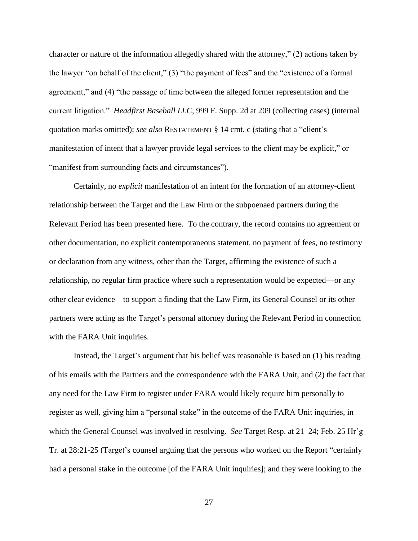character or nature of the information allegedly shared with the attorney," (2) actions taken by the lawyer "on behalf of the client," (3) "the payment of fees" and the "existence of a formal agreement," and (4) "the passage of time between the alleged former representation and the current litigation." *Headfirst Baseball LLC*, 999 F. Supp. 2d at 209 (collecting cases) (internal quotation marks omitted); *see also* RESTATEMENT § 14 cmt. c (stating that a "client's manifestation of intent that a lawyer provide legal services to the client may be explicit," or "manifest from surrounding facts and circumstances").

Certainly, no *explicit* manifestation of an intent for the formation of an attorney-client relationship between the Target and the Law Firm or the subpoenaed partners during the Relevant Period has been presented here. To the contrary, the record contains no agreement or other documentation, no explicit contemporaneous statement, no payment of fees, no testimony or declaration from any witness, other than the Target, affirming the existence of such a relationship, no regular firm practice where such a representation would be expected—or any other clear evidence—to support a finding that the Law Firm, its General Counsel or its other partners were acting as the Target's personal attorney during the Relevant Period in connection with the FARA Unit inquiries.

Instead, the Target's argument that his belief was reasonable is based on (1) his reading of his emails with the Partners and the correspondence with the FARA Unit, and (2) the fact that any need for the Law Firm to register under FARA would likely require him personally to register as well, giving him a "personal stake" in the outcome of the FARA Unit inquiries, in which the General Counsel was involved in resolving. *See* Target Resp. at 21–24; Feb. 25 Hr'g Tr. at 28:21-25 (Target's counsel arguing that the persons who worked on the Report "certainly had a personal stake in the outcome [of the FARA Unit inquiries]; and they were looking to the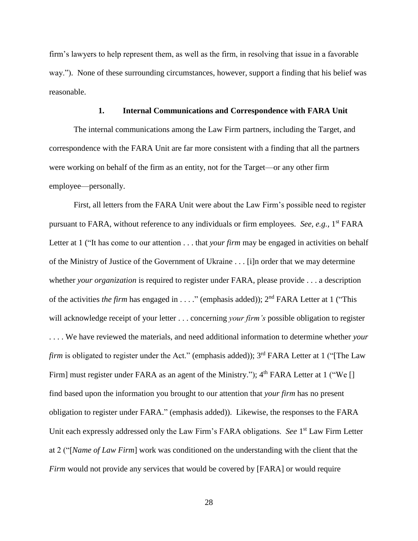firm's lawyers to help represent them, as well as the firm, in resolving that issue in a favorable way."). None of these surrounding circumstances, however, support a finding that his belief was reasonable.

#### **1. Internal Communications and Correspondence with FARA Unit**

The internal communications among the Law Firm partners, including the Target, and correspondence with the FARA Unit are far more consistent with a finding that all the partners were working on behalf of the firm as an entity, not for the Target—or any other firm employee—personally.

First, all letters from the FARA Unit were about the Law Firm's possible need to register pursuant to FARA, without reference to any individuals or firm employees. See, e.g., 1<sup>st</sup> FARA Letter at 1 ("It has come to our attention . . . that *your firm* may be engaged in activities on behalf of the Ministry of Justice of the Government of Ukraine . . . [i]n order that we may determine whether *your organization* is required to register under FARA, please provide . . . a description of the activities *the firm* has engaged in . . . ." (emphasis added)); 2<sup>nd</sup> FARA Letter at 1 ("This will acknowledge receipt of your letter . . . concerning *your firm's* possible obligation to register . . . . We have reviewed the materials, and need additional information to determine whether *your firm* is obligated to register under the Act." (emphasis added)); 3<sup>rd</sup> FARA Letter at 1 ("The Law Firm] must register under FARA as an agent of the Ministry."); 4<sup>th</sup> FARA Letter at 1 ("We [] find based upon the information you brought to our attention that *your firm* has no present obligation to register under FARA." (emphasis added)). Likewise, the responses to the FARA Unit each expressly addressed only the Law Firm's FARA obligations. *See* 1<sup>st</sup> Law Firm Letter at 2 ("[*Name of Law Firm*] work was conditioned on the understanding with the client that the *Firm* would not provide any services that would be covered by [FARA] or would require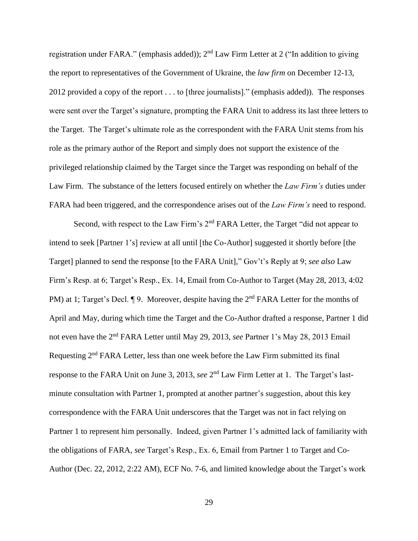registration under FARA." (emphasis added)); 2<sup>nd</sup> Law Firm Letter at 2 ("In addition to giving the report to representatives of the Government of Ukraine, the *law firm* on December 12-13, 2012 provided a copy of the report . . . to [three journalists]." (emphasis added)). The responses were sent over the Target's signature, prompting the FARA Unit to address its last three letters to the Target. The Target's ultimate role as the correspondent with the FARA Unit stems from his role as the primary author of the Report and simply does not support the existence of the privileged relationship claimed by the Target since the Target was responding on behalf of the Law Firm. The substance of the letters focused entirely on whether the *Law Firm's* duties under FARA had been triggered, and the correspondence arises out of the *Law Firm's* need to respond.

Second, with respect to the Law Firm's 2<sup>nd</sup> FARA Letter, the Target "did not appear to intend to seek [Partner 1's] review at all until [the Co-Author] suggested it shortly before [the Target] planned to send the response [to the FARA Unit]," Gov't's Reply at 9; *see also* Law Firm's Resp. at 6; Target's Resp., Ex. 14, Email from Co-Author to Target (May 28, 2013, 4:02 PM) at 1; Target's Decl. ¶ 9. Moreover, despite having the 2<sup>nd</sup> FARA Letter for the months of April and May, during which time the Target and the Co-Author drafted a response, Partner 1 did not even have the 2nd FARA Letter until May 29, 2013, *see* Partner 1's May 28, 2013 Email Requesting 2<sup>nd</sup> FARA Letter, less than one week before the Law Firm submitted its final response to the FARA Unit on June 3, 2013, *see* 2<sup>nd</sup> Law Firm Letter at 1. The Target's lastminute consultation with Partner 1, prompted at another partner's suggestion, about this key correspondence with the FARA Unit underscores that the Target was not in fact relying on Partner 1 to represent him personally. Indeed, given Partner 1's admitted lack of familiarity with the obligations of FARA, *see* Target's Resp., Ex. 6, Email from Partner 1 to Target and Co-Author (Dec. 22, 2012, 2:22 AM), ECF No. 7-6, and limited knowledge about the Target's work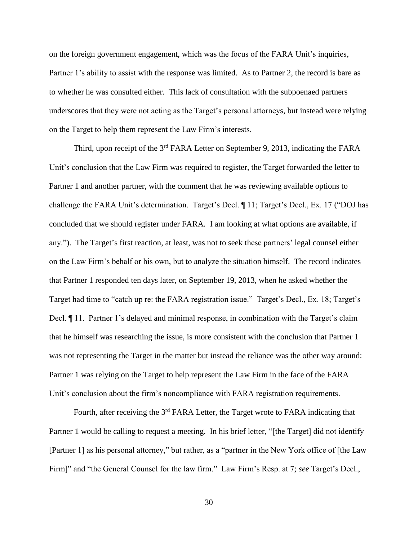on the foreign government engagement, which was the focus of the FARA Unit's inquiries, Partner 1's ability to assist with the response was limited. As to Partner 2, the record is bare as to whether he was consulted either. This lack of consultation with the subpoenaed partners underscores that they were not acting as the Target's personal attorneys, but instead were relying on the Target to help them represent the Law Firm's interests.

Third, upon receipt of the 3<sup>rd</sup> FARA Letter on September 9, 2013, indicating the FARA Unit's conclusion that the Law Firm was required to register, the Target forwarded the letter to Partner 1 and another partner, with the comment that he was reviewing available options to challenge the FARA Unit's determination. Target's Decl. ¶ 11; Target's Decl., Ex. 17 ("DOJ has concluded that we should register under FARA. I am looking at what options are available, if any."). The Target's first reaction, at least, was not to seek these partners' legal counsel either on the Law Firm's behalf or his own, but to analyze the situation himself. The record indicates that Partner 1 responded ten days later, on September 19, 2013, when he asked whether the Target had time to "catch up re: the FARA registration issue." Target's Decl., Ex. 18; Target's Decl. ¶ 11. Partner 1's delayed and minimal response, in combination with the Target's claim that he himself was researching the issue, is more consistent with the conclusion that Partner 1 was not representing the Target in the matter but instead the reliance was the other way around: Partner 1 was relying on the Target to help represent the Law Firm in the face of the FARA Unit's conclusion about the firm's noncompliance with FARA registration requirements.

Fourth, after receiving the 3<sup>rd</sup> FARA Letter, the Target wrote to FARA indicating that Partner 1 would be calling to request a meeting. In his brief letter, "[the Target] did not identify [Partner 1] as his personal attorney," but rather, as a "partner in the New York office of [the Law Firm]" and "the General Counsel for the law firm." Law Firm's Resp. at 7; *see* Target's Decl.,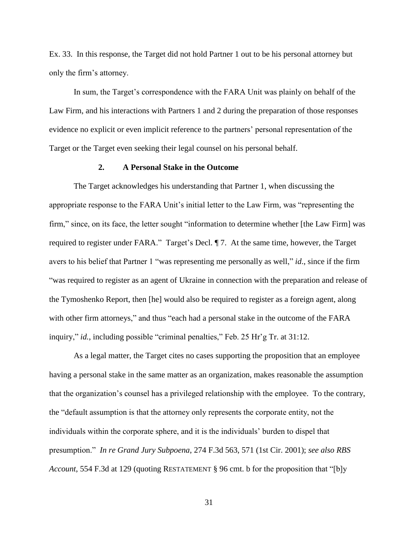Ex. 33. In this response, the Target did not hold Partner 1 out to be his personal attorney but only the firm's attorney.

In sum, the Target's correspondence with the FARA Unit was plainly on behalf of the Law Firm, and his interactions with Partners 1 and 2 during the preparation of those responses evidence no explicit or even implicit reference to the partners' personal representation of the Target or the Target even seeking their legal counsel on his personal behalf.

### **2. A Personal Stake in the Outcome**

The Target acknowledges his understanding that Partner 1, when discussing the appropriate response to the FARA Unit's initial letter to the Law Firm, was "representing the firm," since, on its face, the letter sought "information to determine whether [the Law Firm] was required to register under FARA." Target's Decl. ¶ 7. At the same time, however, the Target avers to his belief that Partner 1 "was representing me personally as well," *id*., since if the firm "was required to register as an agent of Ukraine in connection with the preparation and release of the Tymoshenko Report, then [he] would also be required to register as a foreign agent, along with other firm attorneys," and thus "each had a personal stake in the outcome of the FARA inquiry," *id.*, including possible "criminal penalties," Feb. 25 Hr'g Tr. at 31:12.

As a legal matter, the Target cites no cases supporting the proposition that an employee having a personal stake in the same matter as an organization, makes reasonable the assumption that the organization's counsel has a privileged relationship with the employee. To the contrary, the "default assumption is that the attorney only represents the corporate entity, not the individuals within the corporate sphere, and it is the individuals' burden to dispel that presumption." *In re Grand Jury Subpoena*, 274 F.3d 563, 571 (1st Cir. 2001); *see also RBS Account*, 554 F.3d at 129 (quoting RESTATEMENT § 96 cmt. b for the proposition that "[b]y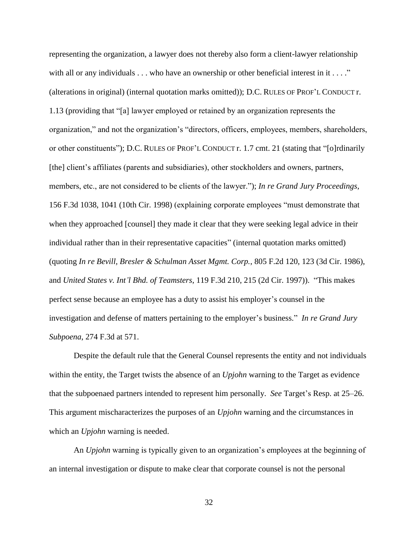representing the organization, a lawyer does not thereby also form a client-lawyer relationship with all or any individuals  $\dots$  who have an ownership or other beneficial interest in it  $\dots$ ." (alterations in original) (internal quotation marks omitted)); D.C. RULES OF PROF'L CONDUCT r. 1.13 (providing that "[a] lawyer employed or retained by an organization represents the organization," and not the organization's "directors, officers, employees, members, shareholders, or other constituents"); D.C. RULES OF PROF'L CONDUCT r. 1.7 cmt. 21 (stating that "[o]rdinarily [the] client's affiliates (parents and subsidiaries), other stockholders and owners, partners, members, etc., are not considered to be clients of the lawyer."); *In re Grand Jury Proceedings*, 156 F.3d 1038, 1041 (10th Cir. 1998) (explaining corporate employees "must demonstrate that when they approached [counsel] they made it clear that they were seeking legal advice in their individual rather than in their representative capacities" (internal quotation marks omitted) (quoting *In re Bevill, Bresler & Schulman Asset Mgmt. Corp.*, 805 F.2d 120, 123 (3d Cir. 1986), and *United States v. Int'l Bhd. of Teamsters*, 119 F.3d 210, 215 (2d Cir. 1997)). "This makes perfect sense because an employee has a duty to assist his employer's counsel in the investigation and defense of matters pertaining to the employer's business." *In re Grand Jury Subpoena*, 274 F.3d at 571.

Despite the default rule that the General Counsel represents the entity and not individuals within the entity, the Target twists the absence of an *Upjohn* warning to the Target as evidence that the subpoenaed partners intended to represent him personally. *See* Target's Resp. at 25–26. This argument mischaracterizes the purposes of an *Upjohn* warning and the circumstances in which an *Upjohn* warning is needed.

An *Upjohn* warning is typically given to an organization's employees at the beginning of an internal investigation or dispute to make clear that corporate counsel is not the personal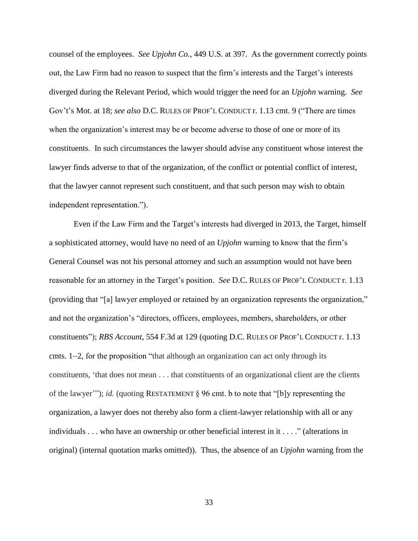counsel of the employees. *See Upjohn Co.*, 449 U.S. at 397. As the government correctly points out, the Law Firm had no reason to suspect that the firm's interests and the Target's interests diverged during the Relevant Period, which would trigger the need for an *Upjohn* warning. *See* Gov't's Mot. at 18; *see also* D.C. RULES OF PROF'L CONDUCT r. 1.13 cmt. 9 ("There are times when the organization's interest may be or become adverse to those of one or more of its constituents. In such circumstances the lawyer should advise any constituent whose interest the lawyer finds adverse to that of the organization, of the conflict or potential conflict of interest, that the lawyer cannot represent such constituent, and that such person may wish to obtain independent representation.").

Even if the Law Firm and the Target's interests had diverged in 2013, the Target, himself a sophisticated attorney, would have no need of an *Upjohn* warning to know that the firm's General Counsel was not his personal attorney and such an assumption would not have been reasonable for an attorney in the Target's position. *See* D.C. RULES OF PROF'L CONDUCT r. 1.13 (providing that "[a] lawyer employed or retained by an organization represents the organization," and not the organization's "directors, officers, employees, members, shareholders, or other constituents"); *RBS Account*, 554 F.3d at 129 (quoting D.C. RULES OF PROF'L CONDUCT r. 1.13 cmts. 1–2, for the proposition "that although an organization can act only through its constituents, 'that does not mean . . . that constituents of an organizational client are the clients of the lawyer'"); *id.* (quoting RESTATEMENT § 96 cmt. b to note that "[b]y representing the organization, a lawyer does not thereby also form a client-lawyer relationship with all or any individuals . . . who have an ownership or other beneficial interest in it . . . ." (alterations in original) (internal quotation marks omitted)). Thus, the absence of an *Upjohn* warning from the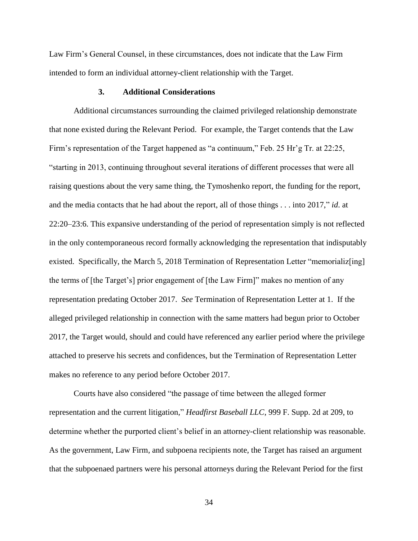Law Firm's General Counsel, in these circumstances, does not indicate that the Law Firm intended to form an individual attorney-client relationship with the Target.

#### **3. Additional Considerations**

Additional circumstances surrounding the claimed privileged relationship demonstrate that none existed during the Relevant Period. For example, the Target contends that the Law Firm's representation of the Target happened as "a continuum," Feb. 25 Hr'g Tr. at 22:25, "starting in 2013, continuing throughout several iterations of different processes that were all raising questions about the very same thing, the Tymoshenko report, the funding for the report, and the media contacts that he had about the report, all of those things . . . into 2017," *id*. at 22:20–23:6. This expansive understanding of the period of representation simply is not reflected in the only contemporaneous record formally acknowledging the representation that indisputably existed. Specifically, the March 5, 2018 Termination of Representation Letter "memorializential" the terms of [the Target's] prior engagement of [the Law Firm]" makes no mention of any representation predating October 2017. *See* Termination of Representation Letter at 1. If the alleged privileged relationship in connection with the same matters had begun prior to October 2017, the Target would, should and could have referenced any earlier period where the privilege attached to preserve his secrets and confidences, but the Termination of Representation Letter makes no reference to any period before October 2017.

Courts have also considered "the passage of time between the alleged former representation and the current litigation," *Headfirst Baseball LLC*, 999 F. Supp. 2d at 209, to determine whether the purported client's belief in an attorney-client relationship was reasonable. As the government, Law Firm, and subpoena recipients note, the Target has raised an argument that the subpoenaed partners were his personal attorneys during the Relevant Period for the first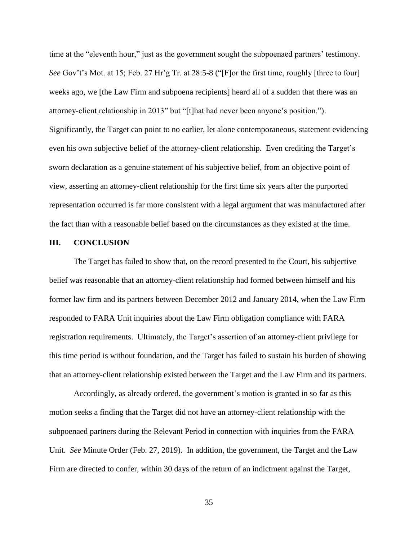time at the "eleventh hour," just as the government sought the subpoenaed partners' testimony. *See* Gov't's Mot. at 15; Feb. 27 Hr'g Tr. at 28:5-8 ("[F]or the first time, roughly [three to four] weeks ago, we [the Law Firm and subpoena recipients] heard all of a sudden that there was an attorney-client relationship in 2013" but "[t]hat had never been anyone's position."). Significantly, the Target can point to no earlier, let alone contemporaneous, statement evidencing even his own subjective belief of the attorney-client relationship. Even crediting the Target's sworn declaration as a genuine statement of his subjective belief, from an objective point of view, asserting an attorney-client relationship for the first time six years after the purported representation occurred is far more consistent with a legal argument that was manufactured after the fact than with a reasonable belief based on the circumstances as they existed at the time.

### **III. CONCLUSION**

The Target has failed to show that, on the record presented to the Court, his subjective belief was reasonable that an attorney-client relationship had formed between himself and his former law firm and its partners between December 2012 and January 2014, when the Law Firm responded to FARA Unit inquiries about the Law Firm obligation compliance with FARA registration requirements. Ultimately, the Target's assertion of an attorney-client privilege for this time period is without foundation, and the Target has failed to sustain his burden of showing that an attorney-client relationship existed between the Target and the Law Firm and its partners.

Accordingly, as already ordered, the government's motion is granted in so far as this motion seeks a finding that the Target did not have an attorney-client relationship with the subpoenaed partners during the Relevant Period in connection with inquiries from the FARA Unit. *See* Minute Order (Feb. 27, 2019). In addition, the government, the Target and the Law Firm are directed to confer, within 30 days of the return of an indictment against the Target,